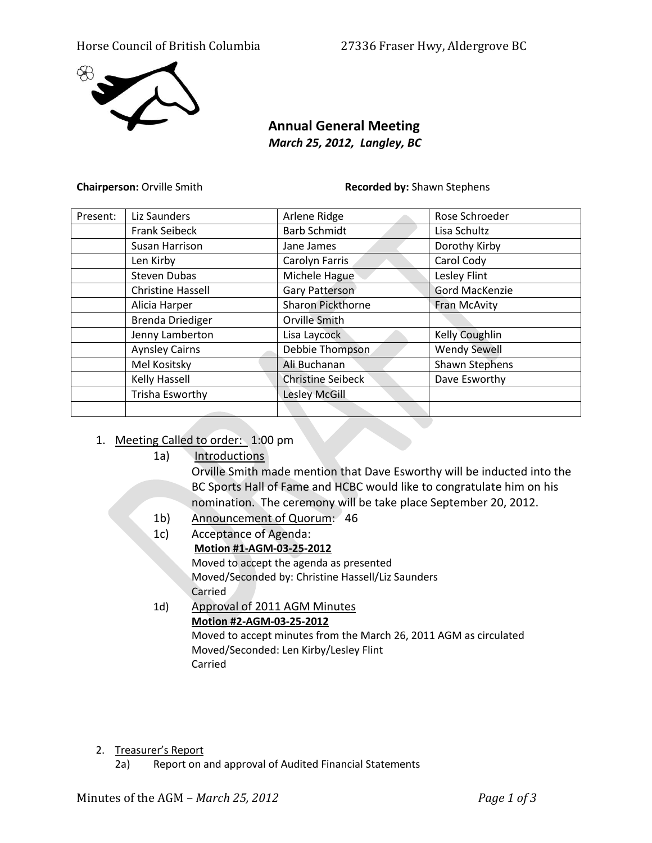## Horse Council of British Columbia 27336 Fraser Hwy, Aldergrove BC



## **Annual General Meeting** *March 25, 2012, Langley, BC*

**Chairperson:** Orville Smith **Recorded by:** Shawn Stephens

| Present: | Liz Saunders             | Arlene Ridge             | Rose Schroeder        |
|----------|--------------------------|--------------------------|-----------------------|
|          | <b>Frank Seibeck</b>     | <b>Barb Schmidt</b>      | Lisa Schultz          |
|          | Susan Harrison           | Jane James               | Dorothy Kirby         |
|          | Len Kirby                | Carolyn Farris           | Carol Cody            |
|          | <b>Steven Dubas</b>      | Michele Hague            | Lesley Flint          |
|          | <b>Christine Hassell</b> | <b>Gary Patterson</b>    | <b>Gord MacKenzie</b> |
|          | Alicia Harper            | <b>Sharon Pickthorne</b> | Fran McAvity          |
|          | <b>Brenda Driediger</b>  | Orville Smith            |                       |
|          | Jenny Lamberton          | Lisa Laycock             | Kelly Coughlin        |
|          | <b>Aynsley Cairns</b>    | Debbie Thompson          | <b>Wendy Sewell</b>   |
|          | Mel Kositsky             | Ali Buchanan             | <b>Shawn Stephens</b> |
|          | <b>Kelly Hassell</b>     | <b>Christine Seibeck</b> | Dave Esworthy         |
|          | Trisha Esworthy          | Lesley McGill            |                       |
|          |                          |                          |                       |

## 1. Meeting Called to order: 1:00 pm

1a) Introductions

Orville Smith made mention that Dave Esworthy will be inducted into the BC Sports Hall of Fame and HCBC would like to congratulate him on his nomination. The ceremony will be take place September 20, 2012.

- 1b) Announcement of Quorum: 46
- 1c) Acceptance of Agenda: **Motion #1-AGM-03-25-2012** Moved to accept the agenda as presented Moved/Seconded by: Christine Hassell/Liz Saunders Carried 1d) Approval of 2011 AGM Minutes
	- **Motion #2-AGM-03-25-2012**

Moved to accept minutes from the March 26, 2011 AGM as circulated Moved/Seconded: Len Kirby/Lesley Flint Carried

2. Treasurer's Report

2a) Report on and approval of Audited Financial Statements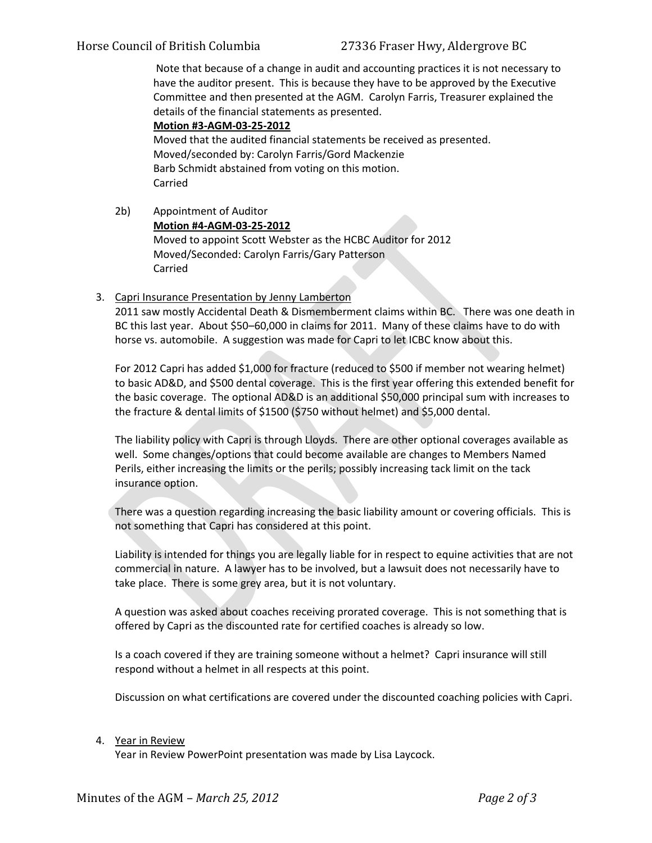Note that because of a change in audit and accounting practices it is not necessary to have the auditor present. This is because they have to be approved by the Executive Committee and then presented at the AGM. Carolyn Farris, Treasurer explained the details of the financial statements as presented.

**Motion #3-AGM-03-25-2012** Moved that the audited financial statements be received as presented. Moved/seconded by: Carolyn Farris/Gord Mackenzie Barb Schmidt abstained from voting on this motion. Carried

- 2b) Appointment of Auditor **Motion #4-AGM-03-25-2012** Moved to appoint Scott Webster as the HCBC Auditor for 2012 Moved/Seconded: Carolyn Farris/Gary Patterson Carried
- 3. Capri Insurance Presentation by Jenny Lamberton

2011 saw mostly Accidental Death & Dismemberment claims within BC. There was one death in BC this last year. About \$50–60,000 in claims for 2011. Many of these claims have to do with horse vs. automobile. A suggestion was made for Capri to let ICBC know about this.

For 2012 Capri has added \$1,000 for fracture (reduced to \$500 if member not wearing helmet) to basic AD&D, and \$500 dental coverage. This is the first year offering this extended benefit for the basic coverage. The optional AD&D is an additional \$50,000 principal sum with increases to the fracture & dental limits of \$1500 (\$750 without helmet) and \$5,000 dental.

The liability policy with Capri is through Lloyds. There are other optional coverages available as well. Some changes/options that could become available are changes to Members Named Perils, either increasing the limits or the perils; possibly increasing tack limit on the tack insurance option.

There was a question regarding increasing the basic liability amount or covering officials. This is not something that Capri has considered at this point.

Liability is intended for things you are legally liable for in respect to equine activities that are not commercial in nature. A lawyer has to be involved, but a lawsuit does not necessarily have to take place. There is some grey area, but it is not voluntary.

A question was asked about coaches receiving prorated coverage. This is not something that is offered by Capri as the discounted rate for certified coaches is already so low.

Is a coach covered if they are training someone without a helmet? Capri insurance will still respond without a helmet in all respects at this point.

Discussion on what certifications are covered under the discounted coaching policies with Capri.

## 4. Year in Review

Year in Review PowerPoint presentation was made by Lisa Laycock.